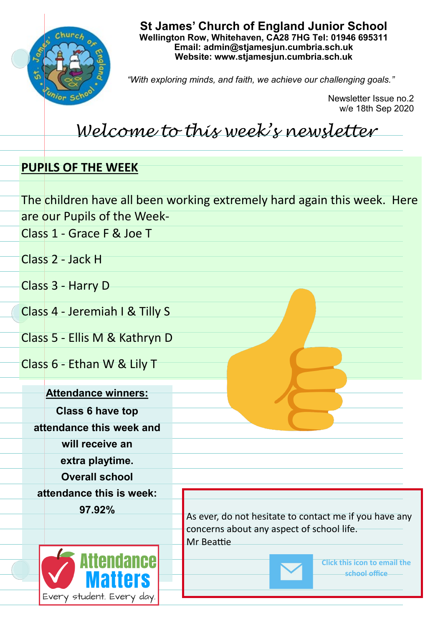

**St James' Church of England Junior School Wellington Row, Whitehaven, CA28 7HG Tel: 01946 695311 Email: admin@stjamesjun.cumbria.sch.uk Website: www.stjamesjun.cumbria.sch.uk**

*"With exploring minds, and faith, we achieve our challenging goals."*

Newsletter Issue no.2 w/e 18th Sep 2020

## *Welcome to this week's newsletter*

## **PUPILS OF THE WEEK**

|                               |                                | The children have all been working extremely hard again this week. Here                             |
|-------------------------------|--------------------------------|-----------------------------------------------------------------------------------------------------|
|                               | are our Pupils of the Week-    |                                                                                                     |
|                               | Class 1 - Grace F & Joe T      |                                                                                                     |
|                               | Class 2 - Jack H               |                                                                                                     |
|                               | Class 3 - Harry D              |                                                                                                     |
|                               | Class 4 - Jeremiah I & Tilly S |                                                                                                     |
| Class 5 - Ellis M & Kathryn D |                                |                                                                                                     |
|                               | Class 6 - Ethan W & Lily T     |                                                                                                     |
|                               | <b>Attendance winners:</b>     |                                                                                                     |
|                               | <b>Class 6 have top</b>        |                                                                                                     |
|                               | attendance this week and       |                                                                                                     |
|                               | will receive an                |                                                                                                     |
|                               | extra playtime.                |                                                                                                     |
|                               | <b>Overall school</b>          |                                                                                                     |
|                               | attendance this is week:       |                                                                                                     |
|                               | 97.92%                         |                                                                                                     |
|                               |                                | As ever, do not hesitate to contact me if you have any<br>concerns about any aspect of school life. |
|                               |                                | Mr Beattie                                                                                          |
|                               | <b>Attendancel</b>             | <b>Click this icon to email the</b>                                                                 |
|                               | <b>Matters</b>                 | school office                                                                                       |
|                               | Every student. Every day.      |                                                                                                     |